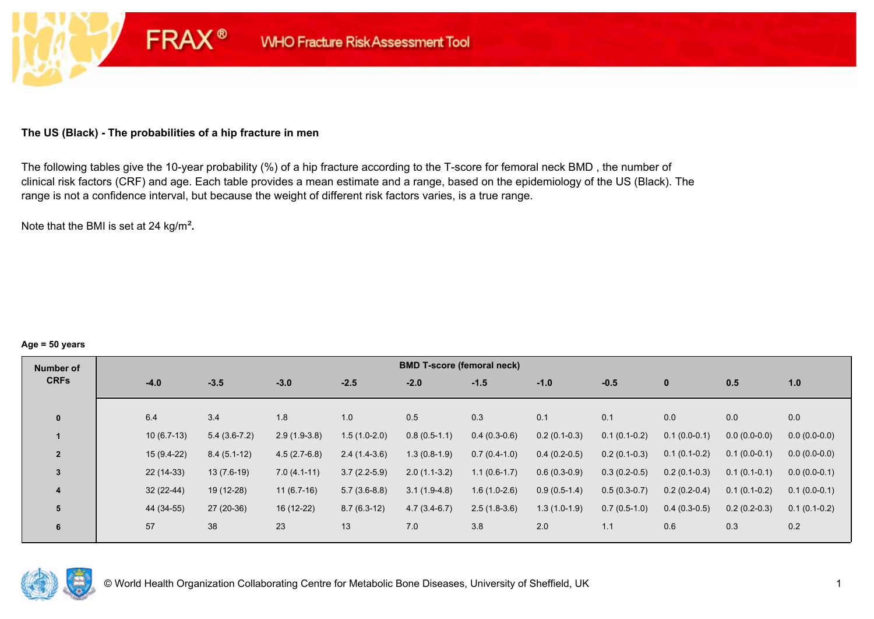# **The US (Black) - The probabilities of a hip fracture in men**

**FRAX®** 

The following tables give the 10-year probability (%) of a hip fracture according to the T-score for femoral neck BMD , the number of clinical risk factors (CRF) and age. Each table provides a mean estimate and a range, based on the epidemiology of the US (Black). The range is not a confidence interval, but because the weight of different risk factors varies, is a true range.

Note that the BMI is set at 24 kg/m²**.** 

#### **Age = 50 years**

| Number of      |              | <b>BMD T-score (femoral neck)</b> |                |                |                |                |                |                |                |                |                |  |  |  |  |
|----------------|--------------|-----------------------------------|----------------|----------------|----------------|----------------|----------------|----------------|----------------|----------------|----------------|--|--|--|--|
| <b>CRFs</b>    | $-4.0$       | $-3.5$                            | $-3.0$         | $-2.5$         | $-2.0$         | $-1.5$         | $-1.0$         | $-0.5$         | $\mathbf 0$    | 0.5            | 1.0            |  |  |  |  |
| $\mathbf{0}$   | 6.4          | 3.4                               | 1.8            | 1.0            | 0.5            | 0.3            | 0.1            | 0.1            | 0.0            | 0.0            | 0.0            |  |  |  |  |
|                |              |                                   |                |                |                |                |                |                |                |                |                |  |  |  |  |
|                | $10(6.7-13)$ | $5.4(3.6-7.2)$                    | $2.9(1.9-3.8)$ | $1.5(1.0-2.0)$ | $0.8(0.5-1.1)$ | $0.4(0.3-0.6)$ | $0.2(0.1-0.3)$ | $0.1(0.1-0.2)$ | $0.1(0.0-0.1)$ | $0.0(0.0-0.0)$ | $0.0(0.0-0.0)$ |  |  |  |  |
| $\overline{2}$ | $15(9.4-22)$ | $8.4(5.1-12)$                     | $4.5(2.7-6.8)$ | $2.4(1.4-3.6)$ | $1.3(0.8-1.9)$ | $0.7(0.4-1.0)$ | $0.4(0.2-0.5)$ | $0.2(0.1-0.3)$ | $0.1(0.1-0.2)$ | $0.1(0.0-0.1)$ | $0.0(0.0-0.0)$ |  |  |  |  |
| $\overline{3}$ | $22(14-33)$  | $13(7.6-19)$                      | $7.0(4.1-11)$  | $3.7(2.2-5.9)$ | $2.0(1.1-3.2)$ | $1.1(0.6-1.7)$ | $0.6(0.3-0.9)$ | $0.3(0.2-0.5)$ | $0.2(0.1-0.3)$ | $0.1(0.1-0.1)$ | $0.0(0.0-0.1)$ |  |  |  |  |
| 4              | $32(22-44)$  | 19 (12-28)                        | $11(6.7-16)$   | $5.7(3.6-8.8)$ | $3.1(1.9-4.8)$ | $1.6(1.0-2.6)$ | $0.9(0.5-1.4)$ | $0.5(0.3-0.7)$ | $0.2(0.2-0.4)$ | $0.1(0.1-0.2)$ | $0.1(0.0-0.1)$ |  |  |  |  |
| 5              | 44 (34-55)   | 27 (20-36)                        | 16 (12-22)     | $8.7(6.3-12)$  | $4.7(3.4-6.7)$ | $2.5(1.8-3.6)$ | $1.3(1.0-1.9)$ | $0.7(0.5-1.0)$ | $0.4(0.3-0.5)$ | $0.2(0.2-0.3)$ | $0.1(0.1-0.2)$ |  |  |  |  |
| 6              | 57           | 38                                | 23             | 13             | 7.0            | 3.8            | 2.0            | 1.1            | 0.6            | 0.3            | 0.2            |  |  |  |  |

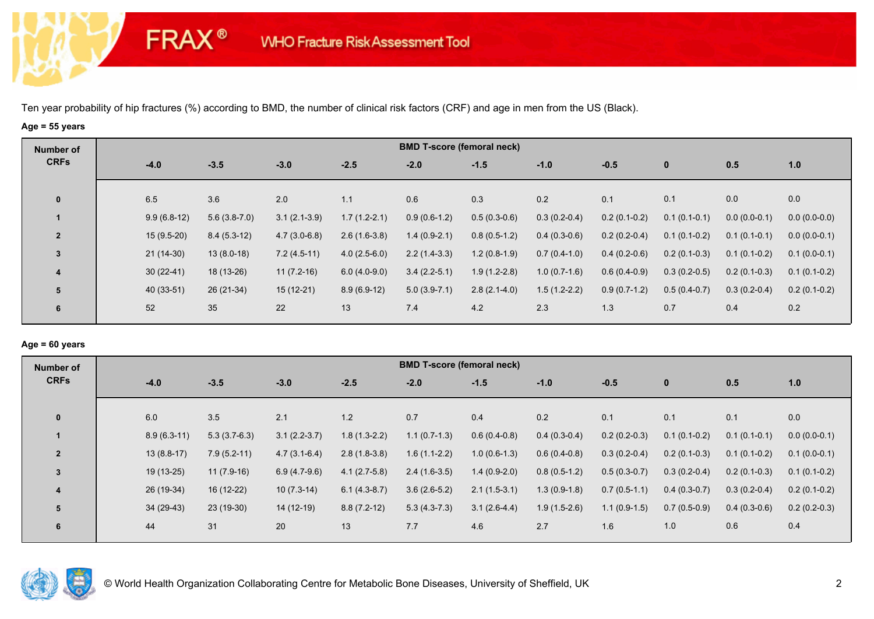# **Age = 55 years**

**FRAX®** 

| Number of      |               |                |                |                | <b>BMD T-score (femoral neck)</b> |                |                |                |                |                |                |
|----------------|---------------|----------------|----------------|----------------|-----------------------------------|----------------|----------------|----------------|----------------|----------------|----------------|
| <b>CRFs</b>    | $-4.0$        | $-3.5$         | $-3.0$         | $-2.5$         | $-2.0$                            | $-1.5$         | $-1.0$         | $-0.5$         | $\mathbf 0$    | 0.5            | 1.0            |
| $\mathbf 0$    | 6.5           | 3.6            | 2.0            | 1.1            | 0.6                               | 0.3            | 0.2            | 0.1            | 0.1            | 0.0            | 0.0            |
|                | $9.9(6.8-12)$ | $5.6(3.8-7.0)$ | $3.1(2.1-3.9)$ | $1.7(1.2-2.1)$ | $0.9(0.6-1.2)$                    | $0.5(0.3-0.6)$ | $0.3(0.2-0.4)$ | $0.2(0.1-0.2)$ | $0.1(0.1-0.1)$ | $0.0(0.0-0.1)$ | $0.0(0.0-0.0)$ |
| $\overline{2}$ | $15(9.5-20)$  | $8.4(5.3-12)$  | $4.7(3.0-6.8)$ | $2.6(1.6-3.8)$ | $1.4(0.9-2.1)$                    | $0.8(0.5-1.2)$ | $0.4(0.3-0.6)$ | $0.2(0.2-0.4)$ | $0.1(0.1-0.2)$ | $0.1(0.1-0.1)$ | $0.0(0.0-0.1)$ |
| 3              | $21(14-30)$   | $13(8.0-18)$   | $7.2(4.5-11)$  | $4.0(2.5-6.0)$ | $2.2(1.4-3.3)$                    | $1.2(0.8-1.9)$ | $0.7(0.4-1.0)$ | $0.4(0.2-0.6)$ | $0.2(0.1-0.3)$ | $0.1(0.1-0.2)$ | $0.1(0.0-0.1)$ |
| 4              | $30(22-41)$   | 18 (13-26)     | $11(7.2-16)$   | $6.0(4.0-9.0)$ | $3.4(2.2-5.1)$                    | $1.9(1.2-2.8)$ | $1.0(0.7-1.6)$ | $0.6(0.4-0.9)$ | $0.3(0.2-0.5)$ | $0.2(0.1-0.3)$ | $0.1(0.1-0.2)$ |
| 5              | 40 (33-51)    | 26 (21-34)     | $15(12-21)$    | $8.9(6.9-12)$  | $5.0(3.9-7.1)$                    | $2.8(2.1-4.0)$ | $1.5(1.2-2.2)$ | $0.9(0.7-1.2)$ | $0.5(0.4-0.7)$ | $0.3(0.2-0.4)$ | $0.2(0.1-0.2)$ |
| 6              | 52            | 35             | 22             | 13             | 7.4                               | 4.2            | 2.3            | 1.3            | 0.7            | 0.4            | 0.2            |

## **Age = 60 years**

| Number of               |        |               |                |                |                | <b>BMD T-score (femoral neck)</b> |                |                |                |                |                |                |
|-------------------------|--------|---------------|----------------|----------------|----------------|-----------------------------------|----------------|----------------|----------------|----------------|----------------|----------------|
| <b>CRFs</b>             | $-4.0$ |               | $-3.5$         | $-3.0$         | $-2.5$         | $-2.0$                            | $-1.5$         | $-1.0$         | $-0.5$         | $\mathbf{0}$   | 0.5            | 1.0            |
| $\mathbf{0}$            | 6.0    |               | 3.5            | 2.1            | 1.2            | 0.7                               | 0.4            | 0.2            | 0.1            | 0.1            | 0.1            | 0.0            |
|                         |        | $8.9(6.3-11)$ | $5.3(3.7-6.3)$ | $3.1(2.2-3.7)$ | $1.8(1.3-2.2)$ | $1.1(0.7-1.3)$                    | $0.6(0.4-0.8)$ | $0.4(0.3-0.4)$ | $0.2(0.2-0.3)$ | $0.1(0.1-0.2)$ | $0.1(0.1-0.1)$ | $0.0(0.0-0.1)$ |
| $\overline{2}$          |        | $13(8.8-17)$  | $7.9(5.2-11)$  | $4.7(3.1-6.4)$ | $2.8(1.8-3.8)$ | $1.6(1.1-2.2)$                    | $1.0(0.6-1.3)$ | $0.6(0.4-0.8)$ | $0.3(0.2-0.4)$ | $0.2(0.1-0.3)$ | $0.1(0.1-0.2)$ | $0.1(0.0-0.1)$ |
| 3                       |        | $19(13-25)$   | $11(7.9-16)$   | $6.9(4.7-9.6)$ | $4.1(2.7-5.8)$ | $2.4(1.6-3.5)$                    | $1.4(0.9-2.0)$ | $0.8(0.5-1.2)$ | $0.5(0.3-0.7)$ | $0.3(0.2-0.4)$ | $0.2(0.1-0.3)$ | $0.1(0.1-0.2)$ |
| $\overline{\mathbf{4}}$ |        | 26 (19-34)    | 16 (12-22)     | $10(7.3-14)$   | $6.1(4.3-8.7)$ | $3.6(2.6-5.2)$                    | $2.1(1.5-3.1)$ | $1.3(0.9-1.8)$ | $0.7(0.5-1.1)$ | $0.4(0.3-0.7)$ | $0.3(0.2-0.4)$ | $0.2(0.1-0.2)$ |
| 5                       |        | $34(29-43)$   | $23(19-30)$    | 14 (12-19)     | $8.8(7.2-12)$  | $5.3(4.3-7.3)$                    | $3.1(2.6-4.4)$ | $1.9(1.5-2.6)$ | $1.1(0.9-1.5)$ | $0.7(0.5-0.9)$ | $0.4(0.3-0.6)$ | $0.2(0.2-0.3)$ |
| 6                       | 44     |               | 31             | 20             | 13             | 7.7                               | 4.6            | 2.7            | 1.6            | 1.0            | 0.6            | 0.4            |

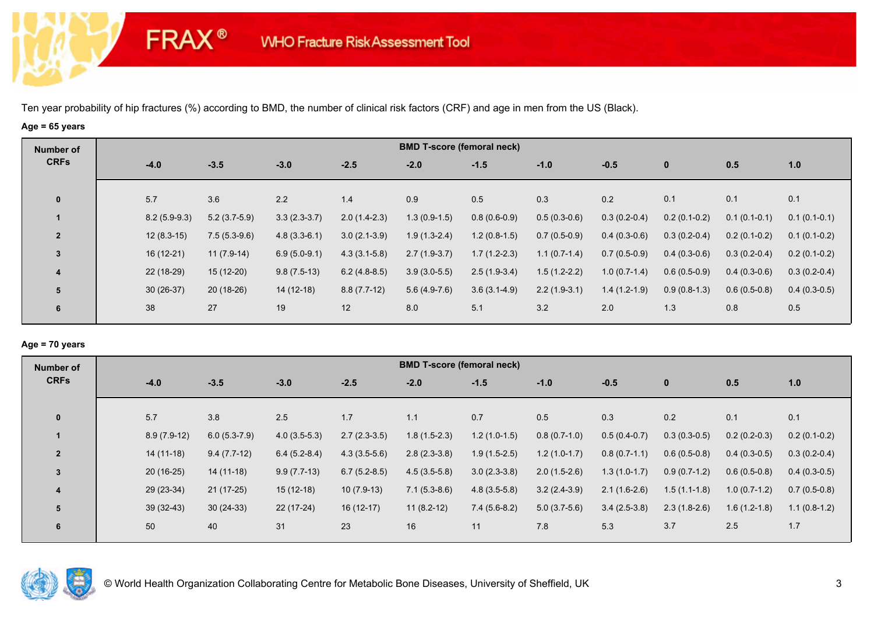# **Age = 65 years**

**FRAX®** 

| Number of      |        |                |                |                |                | <b>BMD T-score (femoral neck)</b> |                |                |                |                |                |                |
|----------------|--------|----------------|----------------|----------------|----------------|-----------------------------------|----------------|----------------|----------------|----------------|----------------|----------------|
| <b>CRFs</b>    | $-4.0$ |                | $-3.5$         | $-3.0$         | $-2.5$         | $-2.0$                            | $-1.5$         | $-1.0$         | $-0.5$         | $\mathbf 0$    | 0.5            | 1.0            |
| $\mathbf 0$    | 5.7    |                | 3.6            | 2.2            | 1.4            | 0.9                               | 0.5            | 0.3            | 0.2            | 0.1            | 0.1            | 0.1            |
|                |        | $8.2(5.9-9.3)$ | $5.2(3.7-5.9)$ | $3.3(2.3-3.7)$ | $2.0(1.4-2.3)$ | $1.3(0.9-1.5)$                    | $0.8(0.6-0.9)$ | $0.5(0.3-0.6)$ | $0.3(0.2-0.4)$ | $0.2(0.1-0.2)$ | $0.1(0.1-0.1)$ | $0.1(0.1-0.1)$ |
| $\overline{2}$ |        | $12(8.3-15)$   | $7.5(5.3-9.6)$ | $4.8(3.3-6.1)$ | $3.0(2.1-3.9)$ | $1.9(1.3-2.4)$                    | $1.2(0.8-1.5)$ | $0.7(0.5-0.9)$ | $0.4(0.3-0.6)$ | $0.3(0.2-0.4)$ | $0.2(0.1-0.2)$ | $0.1(0.1-0.2)$ |
| $\mathbf{3}$   |        | $16(12-21)$    | $11(7.9-14)$   | $6.9(5.0-9.1)$ | $4.3(3.1-5.8)$ | $2.7(1.9-3.7)$                    | $1.7(1.2-2.3)$ | $1.1(0.7-1.4)$ | $0.7(0.5-0.9)$ | $0.4(0.3-0.6)$ | $0.3(0.2-0.4)$ | $0.2(0.1-0.2)$ |
| 4              |        | 22 (18-29)     | $15(12-20)$    | $9.8(7.5-13)$  | $6.2(4.8-8.5)$ | $3.9(3.0-5.5)$                    | $2.5(1.9-3.4)$ | $1.5(1.2-2.2)$ | $1.0(0.7-1.4)$ | $0.6(0.5-0.9)$ | $0.4(0.3-0.6)$ | $0.3(0.2-0.4)$ |
| 5              |        | $30(26-37)$    | $20(18-26)$    | 14 (12-18)     | $8.8(7.7-12)$  | $5.6(4.9-7.6)$                    | $3.6(3.1-4.9)$ | $2.2(1.9-3.1)$ | $1.4(1.2-1.9)$ | $0.9(0.8-1.3)$ | $0.6(0.5-0.8)$ | $0.4(0.3-0.5)$ |
| 6              | 38     |                | 27             | 19             | 12             | 8.0                               | 5.1            | 3.2            | 2.0            | 1.3            | 0.8            | 0.5            |

### **Age = 70 years**

| Number of      |        | <b>BMD T-score (femoral neck)</b> |                |                |                |                |                |                |                |                |                |                |  |  |  |
|----------------|--------|-----------------------------------|----------------|----------------|----------------|----------------|----------------|----------------|----------------|----------------|----------------|----------------|--|--|--|
| <b>CRFs</b>    | $-4.0$ |                                   | $-3.5$         | $-3.0$         | $-2.5$         | $-2.0$         | $-1.5$         | $-1.0$         | $-0.5$         | $\mathbf{0}$   | 0.5            | 1.0            |  |  |  |
| $\mathbf{0}$   | 5.7    |                                   | 3.8            | 2.5            | 1.7            | 1.1            | 0.7            | 0.5            | 0.3            | 0.2            | 0.1            | 0.1            |  |  |  |
|                |        | $8.9(7.9-12)$                     | $6.0(5.3-7.9)$ | $4.0(3.5-5.3)$ | $2.7(2.3-3.5)$ | $1.8(1.5-2.3)$ | $1.2(1.0-1.5)$ | $0.8(0.7-1.0)$ | $0.5(0.4-0.7)$ | $0.3(0.3-0.5)$ | $0.2(0.2-0.3)$ | $0.2(0.1-0.2)$ |  |  |  |
| $\overline{2}$ |        | $14(11-18)$                       | $9.4(7.7-12)$  | $6.4(5.2-8.4)$ | $4.3(3.5-5.6)$ | $2.8(2.3-3.8)$ | $1.9(1.5-2.5)$ | $1.2(1.0-1.7)$ | $0.8(0.7-1.1)$ | $0.6(0.5-0.8)$ | $0.4(0.3-0.5)$ | $0.3(0.2-0.4)$ |  |  |  |
| 3              |        | $20(16-25)$                       | $14(11-18)$    | $9.9(7.7-13)$  | $6.7(5.2-8.5)$ | $4.5(3.5-5.8)$ | $3.0(2.3-3.8)$ | $2.0(1.5-2.6)$ | $1.3(1.0-1.7)$ | $0.9(0.7-1.2)$ | $0.6(0.5-0.8)$ | $0.4(0.3-0.5)$ |  |  |  |
| 4              |        | 29 (23-34)                        | $21(17-25)$    | $15(12-18)$    | $10(7.9-13)$   | $7.1(5.3-8.6)$ | $4.8(3.5-5.8)$ | $3.2(2.4-3.9)$ | $2.1(1.6-2.6)$ | $1.5(1.1-1.8)$ | $1.0(0.7-1.2)$ | $0.7(0.5-0.8)$ |  |  |  |
| 5              |        | $39(32-43)$                       | $30(24-33)$    | 22 (17-24)     | $16(12-17)$    | $11(8.2-12)$   | $7.4(5.6-8.2)$ | $5.0(3.7-5.6)$ | $3.4(2.5-3.8)$ | $2.3(1.8-2.6)$ | $1.6(1.2-1.8)$ | $1.1(0.8-1.2)$ |  |  |  |
| 6              | 50     |                                   | 40             | 31             | 23             | 16             | 11             | 7.8            | 5.3            | 3.7            | 2.5            | 1.7            |  |  |  |

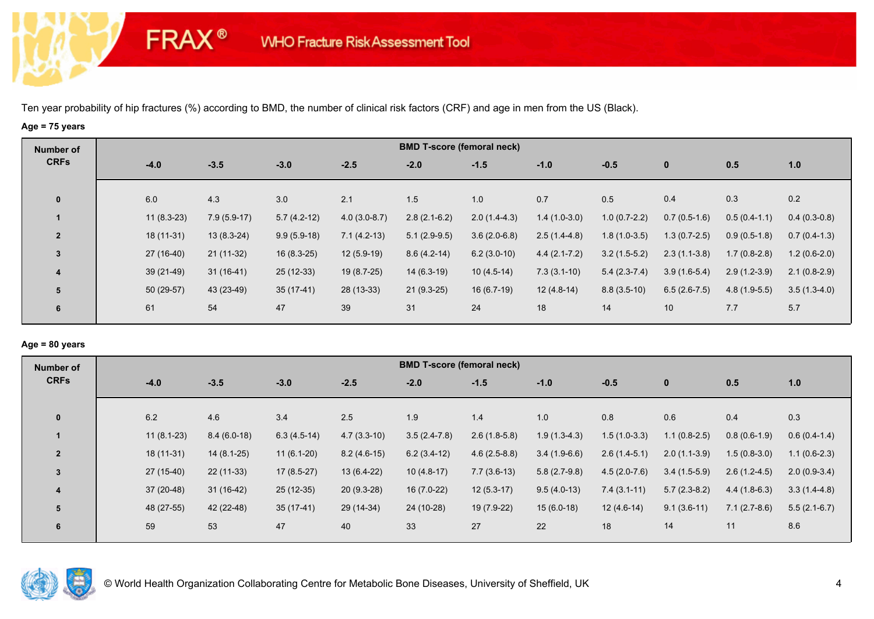# **Age = 75 years**

**FRAX®** 

| Number of      |              |               |               |                | <b>BMD T-score (femoral neck)</b> |                |                  |                |                |                |                |
|----------------|--------------|---------------|---------------|----------------|-----------------------------------|----------------|------------------|----------------|----------------|----------------|----------------|
| <b>CRFs</b>    | $-4.0$       | $-3.5$        | $-3.0$        | $-2.5$         | $-2.0$                            | $-1.5$         | $-1.0$           | $-0.5$         | $\mathbf 0$    | 0.5            | 1.0            |
| $\mathbf 0$    | 6.0          | 4.3           | 3.0           | 2.1            | 1.5                               | 1.0            | 0.7              | 0.5            | 0.4            | 0.3            | 0.2            |
|                | $11(8.3-23)$ | $7.9(5.9-17)$ | $5.7(4.2-12)$ | $4.0(3.0-8.7)$ | $2.8(2.1-6.2)$                    | $2.0(1.4-4.3)$ | $1.4(1.0-3.0)$   | $1.0(0.7-2.2)$ | $0.7(0.5-1.6)$ | $0.5(0.4-1.1)$ | $0.4(0.3-0.8)$ |
| $\overline{2}$ | $18(11-31)$  | $13(8.3-24)$  | $9.9(5.9-18)$ | $7.1(4.2-13)$  | $5.1(2.9-9.5)$                    | $3.6(2.0-6.8)$ | $2.5(1.4-4.8)$   | $1.8(1.0-3.5)$ | $1.3(0.7-2.5)$ | $0.9(0.5-1.8)$ | $0.7(0.4-1.3)$ |
| $\mathbf{3}$   | $27(16-40)$  | $21(11-32)$   | $16(8.3-25)$  | $12(5.9-19)$   | $8.6(4.2-14)$                     | $6.2(3.0-10)$  | $4.4(2.1 - 7.2)$ | $3.2(1.5-5.2)$ | $2.3(1.1-3.8)$ | $1.7(0.8-2.8)$ | $1.2(0.6-2.0)$ |
| 4              | $39(21-49)$  | $31(16-41)$   | $25(12-33)$   | 19 (8.7-25)    | $14(6.3-19)$                      | $10(4.5-14)$   | $7.3(3.1-10)$    | $5.4(2.3-7.4)$ | $3.9(1.6-5.4)$ | $2.9(1.2-3.9)$ | $2.1(0.8-2.9)$ |
| 5              | 50 (29-57)   | 43 (23-49)    | $35(17-41)$   | 28 (13-33)     | $21(9.3-25)$                      | $16(6.7-19)$   | $12(4.8-14)$     | $8.8(3.5-10)$  | $6.5(2.6-7.5)$ | $4.8(1.9-5.5)$ | $3.5(1.3-4.0)$ |
| 6              | 61           | 54            | 47            | 39             | 31                                | 24             | 18               | 14             | 10             | 7.7            | 5.7            |

### **Age = 80 years**

| <b>Number of</b> |        | <b>BMD T-score (femoral neck)</b> |               |               |               |                |                |                |                |                |                |                |  |  |  |
|------------------|--------|-----------------------------------|---------------|---------------|---------------|----------------|----------------|----------------|----------------|----------------|----------------|----------------|--|--|--|
| <b>CRFs</b>      | $-4.0$ |                                   | $-3.5$        | $-3.0$        | $-2.5$        | $-2.0$         | $-1.5$         | $-1.0$         | $-0.5$         | $\mathbf{0}$   | 0.5            | 1.0            |  |  |  |
| $\mathbf{0}$     | 6.2    |                                   | 4.6           | 3.4           | 2.5           | 1.9            | 1.4            | 1.0            | 0.8            | 0.6            | 0.4            | 0.3            |  |  |  |
|                  |        | $11(8.1-23)$                      | $8.4(6.0-18)$ | $6.3(4.5-14)$ | $4.7(3.3-10)$ | $3.5(2.4-7.8)$ | $2.6(1.8-5.8)$ | $1.9(1.3-4.3)$ | $1.5(1.0-3.3)$ | $1.1(0.8-2.5)$ | $0.8(0.6-1.9)$ | $0.6(0.4-1.4)$ |  |  |  |
| $\overline{2}$   |        | $18(11-31)$                       | $14(8.1-25)$  | $11(6.1-20)$  | $8.2(4.6-15)$ | $6.2(3.4-12)$  | $4.6(2.5-8.8)$ | $3.4(1.9-6.6)$ | $2.6(1.4-5.1)$ | $2.0(1.1-3.9)$ | $1.5(0.8-3.0)$ | $1.1(0.6-2.3)$ |  |  |  |
| $\overline{3}$   |        | $27(15-40)$                       | $22(11-33)$   | $17(8.5-27)$  | $13(6.4-22)$  | $10(4.8-17)$   | $7.7(3.6-13)$  | $5.8(2.7-9.8)$ | $4.5(2.0-7.6)$ | $3.4(1.5-5.9)$ | $2.6(1.2-4.5)$ | $2.0(0.9-3.4)$ |  |  |  |
| 4                |        | $37(20-48)$                       | $31(16-42)$   | 25 (12-35)    | $20(9.3-28)$  | $16(7.0-22)$   | $12(5.3-17)$   | $9.5(4.0-13)$  | $7.4(3.1-11)$  | $5.7(2.3-8.2)$ | $4.4(1.8-6.3)$ | $3.3(1.4-4.8)$ |  |  |  |
| 5                |        | 48 (27-55)                        | 42 (22-48)    | $35(17-41)$   | 29 (14-34)    | 24 (10-28)     | 19 (7.9-22)    | $15(6.0-18)$   | $12(4.6-14)$   | $9.1(3.6-11)$  | $7.1(2.7-8.6)$ | $5.5(2.1-6.7)$ |  |  |  |
| 6                | 59     |                                   | 53            | 47            | 40            | 33             | 27             | 22             | 18             | 14             | 11             | 8.6            |  |  |  |